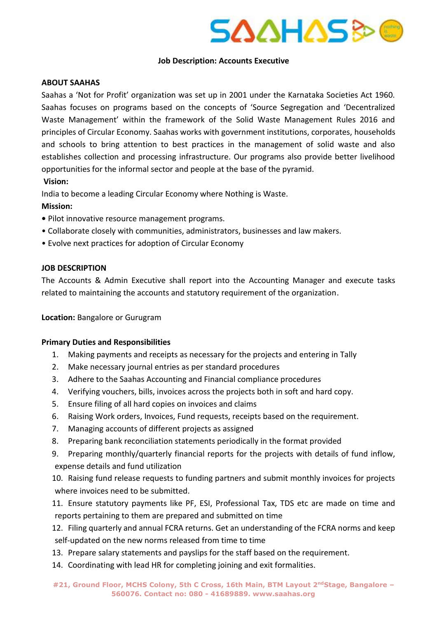

# **Job Description: Accounts Executive**

# **ABOUT SAAHAS**

Saahas a 'Not for Profit' organization was set up in 2001 under the Karnataka Societies Act 1960. Saahas focuses on programs based on the concepts of 'Source Segregation and 'Decentralized Waste Management' within the framework of the Solid Waste Management Rules 2016 and principles of Circular Economy. Saahas works with government institutions, corporates, households and schools to bring attention to best practices in the management of solid waste and also establishes collection and processing infrastructure. Our programs also provide better livelihood opportunities for the informal sector and people at the base of the pyramid. **Vision:** 

India to become a leading Circular Economy where Nothing is Waste.

# **Mission:**

- Pilot innovative resource management programs.
- Collaborate closely with communities, administrators, businesses and law makers.
- Evolve next practices for adoption of Circular Economy

# **JOB DESCRIPTION**

The Accounts & Admin Executive shall report into the Accounting Manager and execute tasks related to maintaining the accounts and statutory requirement of the organization.

#### **Location:** Bangalore or Gurugram

# **Primary Duties and Responsibilities**

- 1. Making payments and receipts as necessary for the projects and entering in Tally
- 2. Make necessary journal entries as per standard procedures
- 3. Adhere to the Saahas Accounting and Financial compliance procedures
- 4. Verifying vouchers, bills, invoices across the projects both in soft and hard copy.
- 5. Ensure filing of all hard copies on invoices and claims
- 6. Raising Work orders, Invoices, Fund requests, receipts based on the requirement.
- 7. Managing accounts of different projects as assigned
- 8. Preparing bank reconciliation statements periodically in the format provided
- 9. Preparing monthly/quarterly financial reports for the projects with details of fund inflow, expense details and fund utilization

10. Raising fund release requests to funding partners and submit monthly invoices for projects where invoices need to be submitted.

11. Ensure statutory payments like PF, ESI, Professional Tax, TDS etc are made on time and reports pertaining to them are prepared and submitted on time

12. Filing quarterly and annual FCRA returns. Get an understanding of the FCRA norms and keep self-updated on the new norms released from time to time

- 13. Prepare salary statements and payslips for the staff based on the requirement.
- 14. Coordinating with lead HR for completing joining and exit formalities.